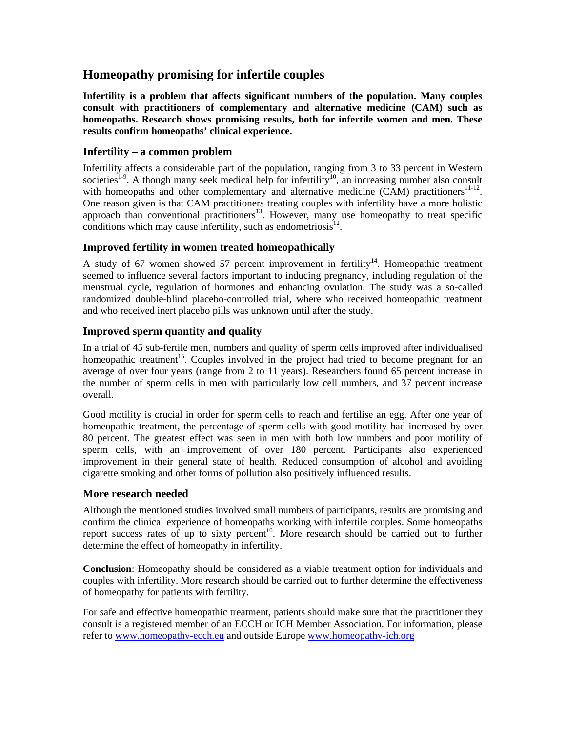# **Homeopathy promising for infertile couples**

**Infertility is a problem that affects significant numbers of the population. Many couples consult with practitioners of complementary and alternative medicine (CAM) such as homeopaths. Research shows promising results, both for infertile women and men. These results confirm homeopaths' clinical experience.** 

# **Infertility – a common problem**

Infertility affects a considerable part of the population, ranging from 3 to 33 percent in Western societies<sup>1-9</sup>. Although many seek medical help for infertility<sup>10</sup>, an increasing number also consult with homeopaths and other complementary and alternative medicine  $(CAM)$  practitioners<sup>11-12</sup>. One reason given is that CAM practitioners treating couples with infertility have a more holistic approach than conventional practitioners<sup>13</sup>. However, many use homeopathy to treat specific conditions which may cause infertility, such as endometriosis<sup>12</sup>.

# **Improved fertility in women treated homeopathically**

A study of 67 women showed 57 percent improvement in fertility<sup>14</sup>. Homeopathic treatment seemed to influence several factors important to inducing pregnancy, including regulation of the menstrual cycle, regulation of hormones and enhancing ovulation. The study was a so-called randomized double-blind placebo-controlled trial, where who received homeopathic treatment and who received inert placebo pills was unknown until after the study.

# **Improved sperm quantity and quality**

In a trial of 45 sub-fertile men, numbers and quality of sperm cells improved after individualised homeopathic treatment<sup>15</sup>. Couples involved in the project had tried to become pregnant for an average of over four years (range from 2 to 11 years). Researchers found 65 percent increase in the number of sperm cells in men with particularly low cell numbers, and 37 percent increase overall.

Good motility is crucial in order for sperm cells to reach and fertilise an egg. After one year of homeopathic treatment, the percentage of sperm cells with good motility had increased by over 80 percent. The greatest effect was seen in men with both low numbers and poor motility of sperm cells, with an improvement of over 180 percent. Participants also experienced improvement in their general state of health. Reduced consumption of alcohol and avoiding cigarette smoking and other forms of pollution also positively influenced results.

# **More research needed**

Although the mentioned studies involved small numbers of participants, results are promising and confirm the clinical experience of homeopaths working with infertile couples. Some homeopaths report success rates of up to sixty percent<sup>16</sup>. More research should be carried out to further determine the effect of homeopathy in infertility.

**Conclusion**: Homeopathy should be considered as a viable treatment option for individuals and couples with infertility. More research should be carried out to further determine the effectiveness of homeopathy for patients with fertility.

For safe and effective homeopathic treatment, patients should make sure that the practitioner they consult is a registered member of an ECCH or ICH Member Association. For information, please refer to [www.homeopathy-ecch.eu](http://www.homeopathy-ecch.eu/) and outside Europe [www.homeopathy-ich.org](http://www.homeopathy-ich.org/)